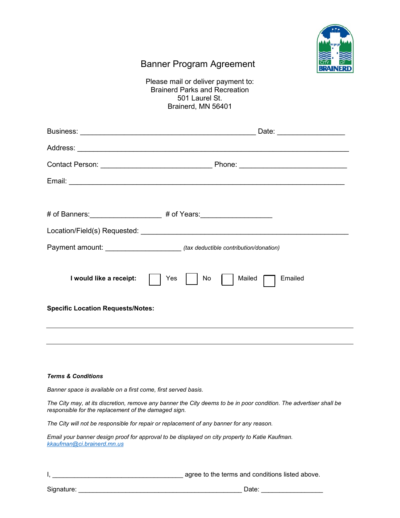

## Banner Program Agreement

Please mail or deliver payment to: Brainerd Parks and Recreation 501 Laurel St. Brainerd, MN 56401

| Payment amount: _____________________________(tax deductible contribution/donation)                                                                                        |                                 |  |  |  |  |  |  |
|----------------------------------------------------------------------------------------------------------------------------------------------------------------------------|---------------------------------|--|--|--|--|--|--|
| I would like a receipt:<br><b>Specific Location Requests/Notes:</b>                                                                                                        | Emailed<br>No.<br>Mailed<br>Yes |  |  |  |  |  |  |
|                                                                                                                                                                            |                                 |  |  |  |  |  |  |
|                                                                                                                                                                            |                                 |  |  |  |  |  |  |
| <b>Terms &amp; Conditions</b>                                                                                                                                              |                                 |  |  |  |  |  |  |
| Banner space is available on a first come, first served basis.                                                                                                             |                                 |  |  |  |  |  |  |
| The City may, at its discretion, remove any banner the City deems to be in poor condition. The advertiser shall be<br>responsible for the replacement of the damaged sign. |                                 |  |  |  |  |  |  |
| The City will not be responsible for repair or replacement of any banner for any reason.                                                                                   |                                 |  |  |  |  |  |  |

*Email your banner design proof for approval to be displayed on city property to Katie Kaufman. [kkaufman@ci.brainerd.mn.us](mailto:kkaufman@ci.brainerd.mn.us)* 

I, \_\_\_\_\_\_\_\_\_\_\_\_\_\_\_\_\_\_\_\_\_\_\_\_\_\_\_\_\_\_\_\_\_\_\_\_ agree to the terms and conditions listed above.

Signature: \_\_\_\_\_\_\_\_\_\_\_\_\_\_\_\_\_\_\_\_\_\_\_\_\_\_\_\_\_\_\_\_\_\_\_\_\_\_\_\_\_\_\_\_\_ Date: \_\_\_\_\_\_\_\_\_\_\_\_\_\_\_\_\_